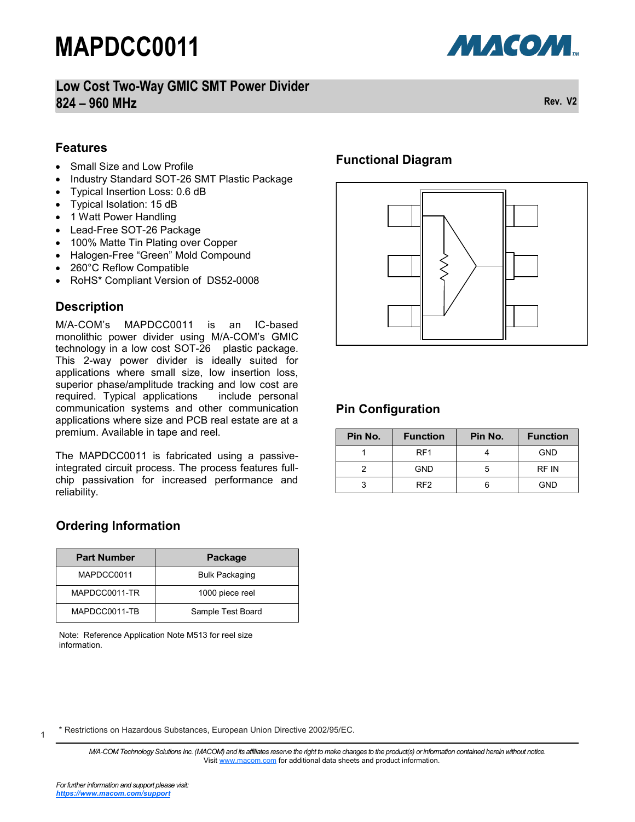

### **Low Cost Two-Way GMIC SMT Power Divider 824 – 960 MHz Rev. V2**

### **Features**

- Small Size and Low Profile
- Industry Standard SOT-26 SMT Plastic Package
- Typical Insertion Loss: 0.6 dB
- Typical Isolation: 15 dB
- 1 Watt Power Handling
- Lead-Free SOT-26 Package
- 100% Matte Tin Plating over Copper
- Halogen-Free "Green" Mold Compound
- 260°C Reflow Compatible
- RoHS\* Compliant Version of DS52-0008

## **Description**

M/A-COM's MAPDCC0011 is an IC-based monolithic power divider using M/A-COM's GMIC technology in a low cost SOT-26 plastic package. This 2-way power divider is ideally suited for applications where small size, low insertion loss, superior phase/amplitude tracking and low cost are required. Typical applications include personal required. Typical applications communication systems and other communication applications where size and PCB real estate are at a premium. Available in tape and reel.

The MAPDCC0011 is fabricated using a passiveintegrated circuit process. The process features fullchip passivation for increased performance and reliability.

## **Ordering Information**

| <b>Part Number</b> | Package               |  |
|--------------------|-----------------------|--|
| MAPDCC0011         | <b>Bulk Packaging</b> |  |
| MAPDCC0011-TR      | 1000 piece reel       |  |
| MAPDCC0011-TB      | Sample Test Board     |  |

Note: Reference Application Note M513 for reel size information.

### **Functional Diagram**



### **Pin Configuration**

| Pin No. | <b>Function</b> | Pin No. | <b>Function</b> |
|---------|-----------------|---------|-----------------|
|         | RF1             |         | <b>GND</b>      |
|         | <b>GND</b>      | h       | RF IN           |
|         | RF2             |         | GND             |

\* Restrictions on Hazardous Substances, European Union Directive 2002/95/EC.

*M/A-COM Technology Solutions Inc. (MACOM) and its affiliates reserve the right to make changes to the product(s) or information contained herein without notice.*  Visit [www.macom.com](http://www.macom.com/) for additional data sheets and product information.

1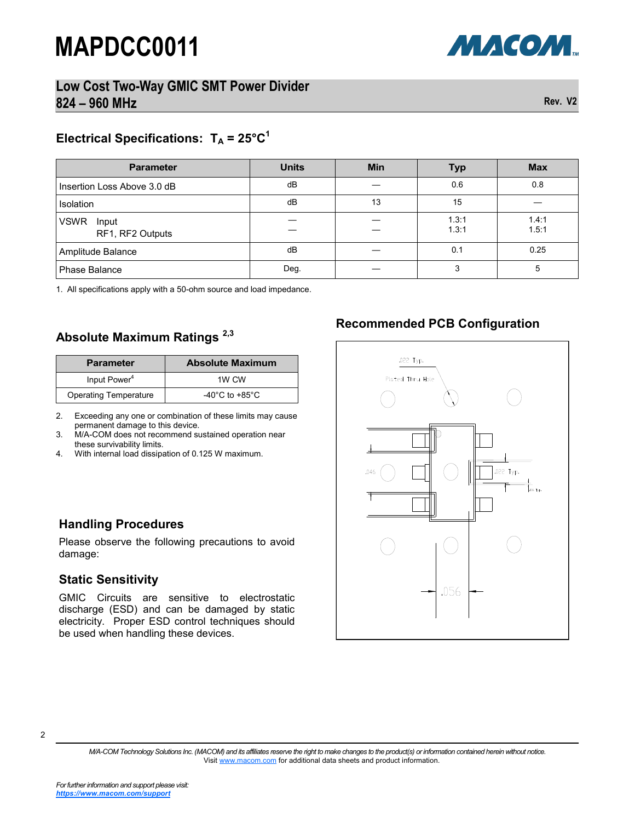



## Electrical Specifications:  $T_A = 25^{\circ}C^1$

| <b>Parameter</b>                         | <b>Units</b> | <b>Min</b> | <b>Typ</b>     | <b>Max</b>     |
|------------------------------------------|--------------|------------|----------------|----------------|
| Insertion Loss Above 3.0 dB              | dB           |            | 0.6            | 0.8            |
| Isolation                                | dB           | 13         | 15             |                |
| <b>VSWR</b><br>Input<br>RF1, RF2 Outputs |              |            | 1.3:1<br>1.3:1 | 1.4:1<br>1.5:1 |
| Amplitude Balance                        | dB           |            | 0.1            | 0.25           |
| Phase Balance                            | Deg.         |            |                | 5              |

1. All specifications apply with a 50-ohm source and load impedance.

#### **Absolute Maximum Ratings 2,3**

| <b>Parameter</b>             | <b>Absolute Maximum</b>              |
|------------------------------|--------------------------------------|
| Input Power <sup>4</sup>     | 1W CW                                |
| <b>Operating Temperature</b> | -40 $^{\circ}$ C to +85 $^{\circ}$ C |

2. Exceeding any one or combination of these limits may cause permanent damage to this device.

- 3. M/A-COM does not recommend sustained operation near these survivability limits.
- 4. With internal load dissipation of 0.125 W maximum.

#### **Handling Procedures**

Please observe the following precautions to avoid damage:

#### **Static Sensitivity**

GMIC Circuits are sensitive to electrostatic discharge (ESD) and can be damaged by static electricity. Proper ESD control techniques should be used when handling these devices.

### **Recommended PCB Configuration**



2

*M/A-COM Technology Solutions Inc. (MACOM) and its affiliates reserve the right to make changes to the product(s) or information contained herein without notice.*  Visit [www.macom.com](http://www.macom.com/) for additional data sheets and product information.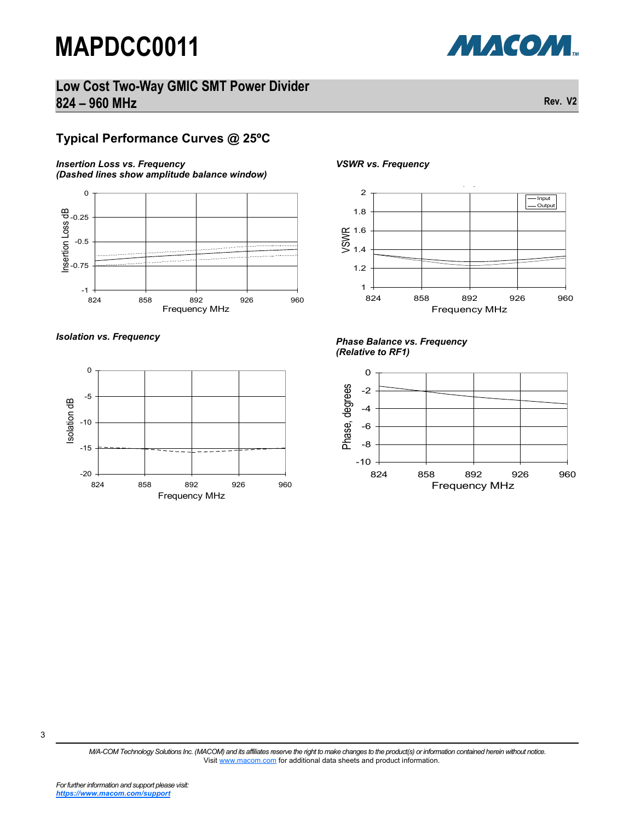



#### **Typical Performance Curves @ 25ºC**

#### *Insertion Loss vs. Frequency*







*VSWR vs. Frequency*



#### *Isolation vs. Frequency Phase Balance vs. Frequency (Relative to RF1)*



3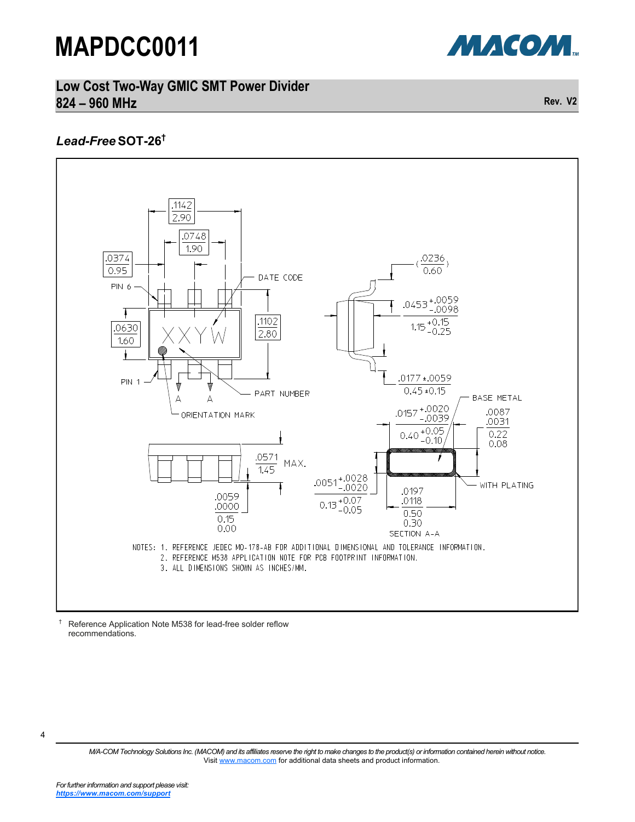

### **Low Cost Two-Way GMIC SMT Power Divider 824 – 960 MHz Rev. V2**

#### *Lead-Free* **SOT-26†**



† Reference Application Note M538 for lead-free solder reflow recommendations.

*M/A-COM Technology Solutions Inc. (MACOM) and its affiliates reserve the right to make changes to the product(s) or information contained herein without notice.*  Visit [www.macom.com](http://www.macom.com/) for additional data sheets and product information.